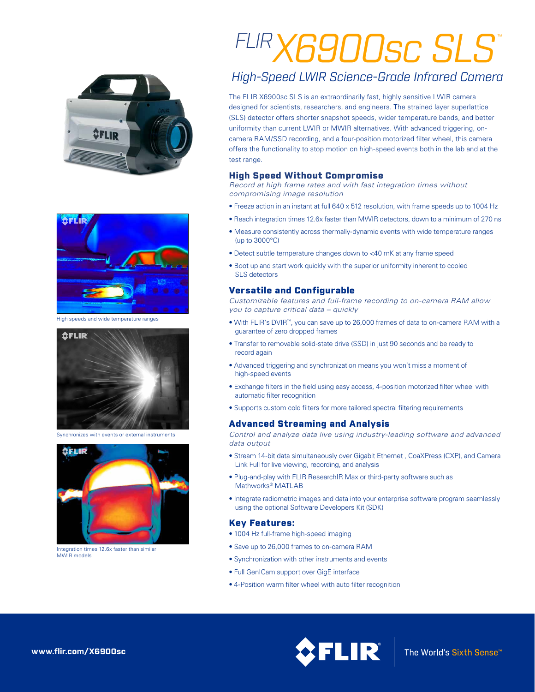



High speeds and wide temperature ranges



Synchronizes with events or external instruments



Integration times 12.6x faster than similar MWIR models

# *FLIRX6900sc SLS* ™

## *High-Speed LWIR Science-Grade Infrared Camera*

The FLIR X6900sc SLS is an extraordinarily fast, highly sensitive LWIR camera designed for scientists, researchers, and engineers. The strained layer superlattice (SLS) detector offers shorter snapshot speeds, wider temperature bands, and better uniformity than current LWIR or MWIR alternatives. With advanced triggering, oncamera RAM/SSD recording, and a four-position motorized filter wheel, this camera offers the functionality to stop motion on high-speed events both in the lab and at the test range.

#### High Speed Without Compromise

*Record at high frame rates and with fast integration times without compromising image resolution*

- Freeze action in an instant at full 640 x 512 resolution, with frame speeds up to 1004 Hz
- Reach integration times 12.6x faster than MWIR detectors, down to a minimum of 270 ns
- Measure consistently across thermally-dynamic events with wide temperature ranges (up to 3000°C)
- Detect subtle temperature changes down to <40 mK at any frame speed
- Boot up and start work quickly with the superior uniformity inherent to cooled SLS detectors

#### Versatile and Configurable

*Customizable features and full-frame recording to on-camera RAM allow you to capture critical data – quickly*

- With FLIR's DVIR™, you can save up to 26,000 frames of data to on-camera RAM with a guarantee of zero dropped frames
- Transfer to removable solid-state drive (SSD) in just 90 seconds and be ready to record again
- Advanced triggering and synchronization means you won't miss a moment of high-speed events
- Exchange filters in the field using easy access, 4-position motorized filter wheel with automatic filter recognition
- Supports custom cold filters for more tailored spectral filtering requirements

#### Advanced Streaming and Analysis

*Control and analyze data live using industry-leading software and advanced data output*

- Stream 14-bit data simultaneously over Gigabit Ethernet , CoaXPress (CXP), and Camera Link Full for live viewing, recording, and analysis
- Plug-and-play with FLIR ResearchIR Max or third-party software such as Mathworks® MATLAB
- Integrate radiometric images and data into your enterprise software program seamlessly using the optional Software Developers Kit (SDK)

#### Key Features:

- 1004 Hz full-frame high-speed imaging
- Save up to 26,000 frames to on-camera RAM
- Synchronization with other instruments and events
- Full GenICam support over GigE interface
- 4-Position warm filter wheel with auto filter recognition